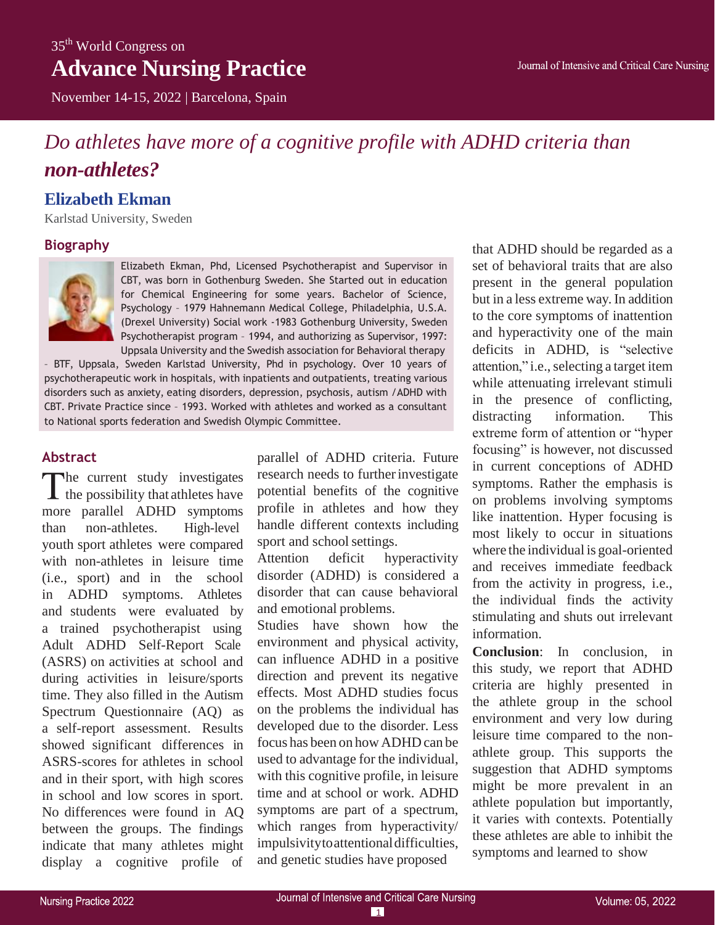## 35<sup>th</sup> World Congress on **Advance Nursing Practice**

November 14-15, 2022 | Barcelona, Spain

# *Do athletes have more of a cognitive profile with ADHD criteria than non-athletes?*

### **Elizabeth Ekman**

Karlstad University, Sweden

### **Biography**



Elizabeth Ekman, Phd, Licensed Psychotherapist and Supervisor in CBT, was born in Gothenburg Sweden. She Started out in education for Chemical Engineering for some years. Bachelor of Science, Psychology – 1979 Hahnemann Medical College, Philadelphia, U.S.A. (Drexel University) Social work -1983 Gothenburg University, Sweden Psychotherapist program – 1994, and authorizing as Supervisor, 1997: Uppsala University and the Swedish association for Behavioral therapy

– BTF, Uppsala, Sweden Karlstad University, Phd in psychology. Over 10 years of psychotherapeutic work in hospitals, with inpatients and outpatients, treating various disorders such as anxiety, eating disorders, depression, psychosis, autism /ADHD with CBT. Private Practice since – 1993. Worked with athletes and worked as a consultant to National sports federation and Swedish Olympic Committee.

### **Abstract**

The current study investigates  $\blacktriangle$  the possibility that athletes have more parallel ADHD symptoms than non-athletes. High-level youth sport athletes were compared with non-athletes in leisure time (i.e., sport) and in the school in ADHD symptoms. Athletes and students were evaluated by a trained psychotherapist using Adult ADHD Self-Report Scale (ASRS) on activities at school and during activities in leisure/sports time. They also filled in the Autism Spectrum Questionnaire (AQ) as a self-report assessment. Results showed significant differences in ASRS-scores for athletes in school and in their sport, with high scores in school and low scores in sport. No differences were found in AQ between the groups. The findings indicate that many athletes might display a cognitive profile of

parallel of ADHD criteria. Future research needs to further investigate potential benefits of the cognitive profile in athletes and how they handle different contexts including sport and school settings.

Attention deficit hyperactivity disorder (ADHD) is considered a disorder that can cause behavioral and emotional problems.

Studies have shown how the environment and physical activity, can influence ADHD in a positive direction and prevent its negative effects. Most ADHD studies focus on the problems the individual has developed due to the disorder. Less focus has been on how ADHD can be used to advantage for the individual, with this cognitive profile, in leisure time and at school or work. ADHD symptoms are part of a spectrum, which ranges from hyperactivity/ impulsivitytoattentionaldifficulties, and genetic studies have proposed

that ADHD should be regarded as a set of behavioral traits that are also present in the general population but in a less extreme way. In addition to the core symptoms of inattention and hyperactivity one of the main deficits in ADHD, is "selective attention," i.e., selecting a target item while attenuating irrelevant stimuli in the presence of conflicting, distracting information. This extreme form of attention or "hyper focusing" is however, not discussed in current conceptions of ADHD symptoms. Rather the emphasis is on problems involving symptoms like inattention. Hyper focusing is most likely to occur in situations where the individual is goal-oriented and receives immediate feedback from the activity in progress, i.e., the individual finds the activity stimulating and shuts out irrelevant information.

**Conclusion**: In conclusion, in this study, we report that ADHD criteria are highly presented in the athlete group in the school environment and very low during leisure time compared to the nonathlete group. This supports the suggestion that ADHD symptoms might be more prevalent in an athlete population but importantly, it varies with contexts. Potentially these athletes are able to inhibit the symptoms and learned to show